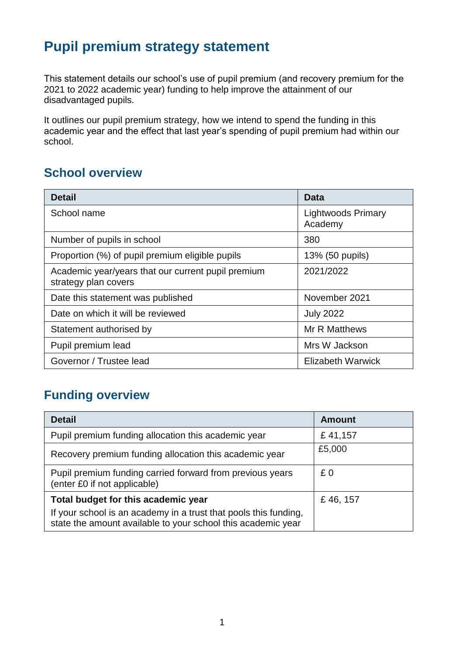## **Pupil premium strategy statement**

This statement details our school's use of pupil premium (and recovery premium for the 2021 to 2022 academic year) funding to help improve the attainment of our disadvantaged pupils.

It outlines our pupil premium strategy, how we intend to spend the funding in this academic year and the effect that last year's spending of pupil premium had within our school.

## **School overview**

| <b>Detail</b>                                                              | Data                                 |
|----------------------------------------------------------------------------|--------------------------------------|
| School name                                                                | <b>Lightwoods Primary</b><br>Academy |
| Number of pupils in school                                                 | 380                                  |
| Proportion (%) of pupil premium eligible pupils                            | 13% (50 pupils)                      |
| Academic year/years that our current pupil premium<br>strategy plan covers | 2021/2022                            |
| Date this statement was published                                          | November 2021                        |
| Date on which it will be reviewed                                          | <b>July 2022</b>                     |
| Statement authorised by                                                    | <b>Mr R Matthews</b>                 |
| Pupil premium lead                                                         | Mrs W Jackson                        |
| Governor / Trustee lead                                                    | <b>Elizabeth Warwick</b>             |

## **Funding overview**

| <b>Detail</b>                                                                                                                    | <b>Amount</b> |
|----------------------------------------------------------------------------------------------------------------------------------|---------------|
| Pupil premium funding allocation this academic year                                                                              | £41,157       |
| Recovery premium funding allocation this academic year                                                                           | £5,000        |
| Pupil premium funding carried forward from previous years<br>(enter £0 if not applicable)                                        | £0            |
| Total budget for this academic year                                                                                              | £46, 157      |
| If your school is an academy in a trust that pools this funding,<br>state the amount available to your school this academic year |               |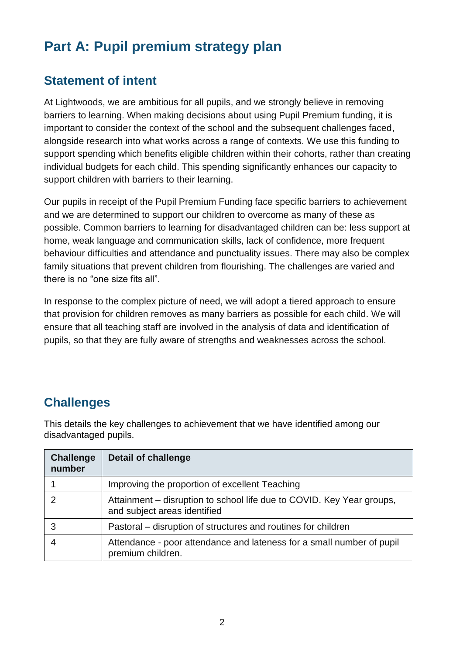# **Part A: Pupil premium strategy plan**

### **Statement of intent**

At Lightwoods, we are ambitious for all pupils, and we strongly believe in removing barriers to learning. When making decisions about using Pupil Premium funding, it is important to consider the context of the school and the subsequent challenges faced, alongside research into what works across a range of contexts. We use this funding to support spending which benefits eligible children within their cohorts, rather than creating individual budgets for each child. This spending significantly enhances our capacity to support children with barriers to their learning.

Our pupils in receipt of the Pupil Premium Funding face specific barriers to achievement and we are determined to support our children to overcome as many of these as possible. Common barriers to learning for disadvantaged children can be: less support at home, weak language and communication skills, lack of confidence, more frequent behaviour difficulties and attendance and punctuality issues. There may also be complex family situations that prevent children from flourishing. The challenges are varied and there is no "one size fits all".

In response to the complex picture of need, we will adopt a tiered approach to ensure that provision for children removes as many barriers as possible for each child. We will ensure that all teaching staff are involved in the analysis of data and identification of pupils, so that they are fully aware of strengths and weaknesses across the school.

## **Challenges**

This details the key challenges to achievement that we have identified among our disadvantaged pupils.

| <b>Challenge</b><br>number | <b>Detail of challenge</b>                                                                            |
|----------------------------|-------------------------------------------------------------------------------------------------------|
|                            | Improving the proportion of excellent Teaching                                                        |
| っ                          | Attainment – disruption to school life due to COVID. Key Year groups,<br>and subject areas identified |
| 3                          | Pastoral – disruption of structures and routines for children                                         |
|                            | Attendance - poor attendance and lateness for a small number of pupil<br>premium children.            |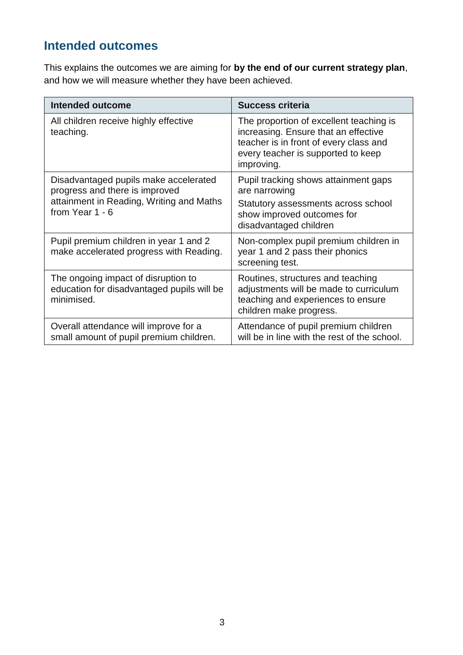## **Intended outcomes**

This explains the outcomes we are aiming for **by the end of our current strategy plan**, and how we will measure whether they have been achieved.

| <b>Intended outcome</b>                                                                                                                | <b>Success criteria</b>                                                                                                                                                       |
|----------------------------------------------------------------------------------------------------------------------------------------|-------------------------------------------------------------------------------------------------------------------------------------------------------------------------------|
| All children receive highly effective<br>teaching.                                                                                     | The proportion of excellent teaching is<br>increasing. Ensure that an effective<br>teacher is in front of every class and<br>every teacher is supported to keep<br>improving. |
| Disadvantaged pupils make accelerated<br>progress and there is improved<br>attainment in Reading, Writing and Maths<br>from Year 1 - 6 | Pupil tracking shows attainment gaps<br>are narrowing<br>Statutory assessments across school<br>show improved outcomes for<br>disadvantaged children                          |
| Pupil premium children in year 1 and 2<br>make accelerated progress with Reading.                                                      | Non-complex pupil premium children in<br>year 1 and 2 pass their phonics<br>screening test.                                                                                   |
| The ongoing impact of disruption to<br>education for disadvantaged pupils will be<br>minimised.                                        | Routines, structures and teaching<br>adjustments will be made to curriculum<br>teaching and experiences to ensure<br>children make progress.                                  |
| Overall attendance will improve for a<br>small amount of pupil premium children.                                                       | Attendance of pupil premium children<br>will be in line with the rest of the school.                                                                                          |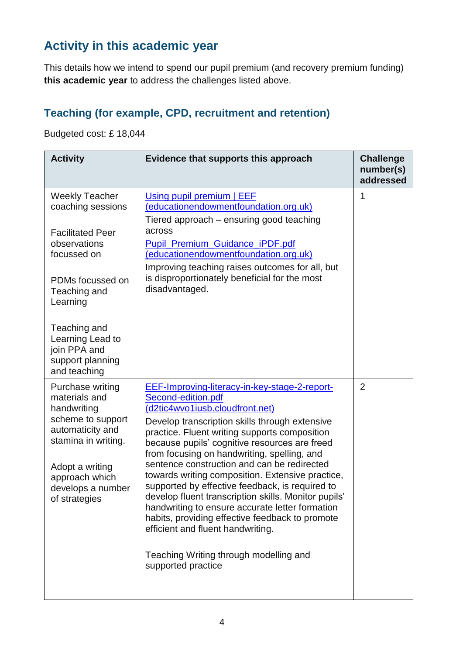## **Activity in this academic year**

This details how we intend to spend our pupil premium (and recovery premium funding) **this academic year** to address the challenges listed above.

### **Teaching (for example, CPD, recruitment and retention)**

Budgeted cost: £ 18,044

| <b>Activity</b>                                                                                                                                                                                                                              | Evidence that supports this approach                                                                                                                                                                                                                                                                                                                                                                                                                                                                                                                                                                                                                                                                                               | <b>Challenge</b><br>number(s)<br>addressed |
|----------------------------------------------------------------------------------------------------------------------------------------------------------------------------------------------------------------------------------------------|------------------------------------------------------------------------------------------------------------------------------------------------------------------------------------------------------------------------------------------------------------------------------------------------------------------------------------------------------------------------------------------------------------------------------------------------------------------------------------------------------------------------------------------------------------------------------------------------------------------------------------------------------------------------------------------------------------------------------------|--------------------------------------------|
| <b>Weekly Teacher</b><br>coaching sessions<br><b>Facilitated Peer</b><br>observations<br>focussed on<br>PDMs focussed on<br>Teaching and<br>Learning<br>Teaching and<br>Learning Lead to<br>join PPA and<br>support planning<br>and teaching | Using pupil premium   EEF<br>(educationendowmentfoundation.org.uk)<br>Tiered approach – ensuring good teaching<br>across<br><b>Pupil Premium Guidance iPDF.pdf</b><br>(educationendowmentfoundation.org.uk)<br>Improving teaching raises outcomes for all, but<br>is disproportionately beneficial for the most<br>disadvantaged.                                                                                                                                                                                                                                                                                                                                                                                                  | 1                                          |
| Purchase writing<br>materials and<br>handwriting<br>scheme to support<br>automaticity and<br>stamina in writing.<br>Adopt a writing<br>approach which<br>develops a number<br>of strategies                                                  | EEF-Improving-literacy-in-key-stage-2-report-<br>Second-edition.pdf<br>(d2tic4wvo1iusb.cloudfront.net)<br>Develop transcription skills through extensive<br>practice. Fluent writing supports composition<br>because pupils' cognitive resources are freed<br>from focusing on handwriting, spelling, and<br>sentence construction and can be redirected<br>towards writing composition. Extensive practice,<br>supported by effective feedback, is required to<br>develop fluent transcription skills. Monitor pupils'<br>handwriting to ensure accurate letter formation<br>habits, providing effective feedback to promote<br>efficient and fluent handwriting.<br>Teaching Writing through modelling and<br>supported practice | $\overline{2}$                             |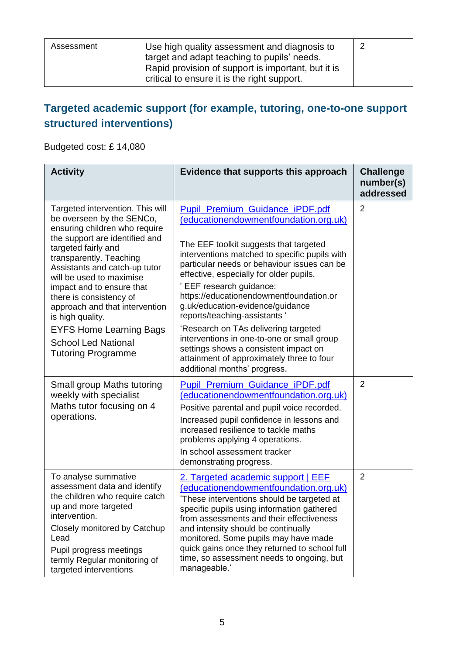| Assessment | Use high quality assessment and diagnosis to                                                                                                     |  |
|------------|--------------------------------------------------------------------------------------------------------------------------------------------------|--|
|            | target and adapt teaching to pupils' needs.<br>Rapid provision of support is important, but it is<br>critical to ensure it is the right support. |  |

### **Targeted academic support (for example, tutoring, one-to-one support structured interventions)**

Budgeted cost: £ 14,080

| <b>Activity</b>                                                                                                                                                                                                                                                                                                                                                                                                                                            | Evidence that supports this approach                                                                                                                                                                                                                                                                                                                                                                                                                                                                                                                                                                                       | <b>Challenge</b><br>number(s)<br>addressed |
|------------------------------------------------------------------------------------------------------------------------------------------------------------------------------------------------------------------------------------------------------------------------------------------------------------------------------------------------------------------------------------------------------------------------------------------------------------|----------------------------------------------------------------------------------------------------------------------------------------------------------------------------------------------------------------------------------------------------------------------------------------------------------------------------------------------------------------------------------------------------------------------------------------------------------------------------------------------------------------------------------------------------------------------------------------------------------------------------|--------------------------------------------|
| Targeted intervention. This will<br>be overseen by the SENCo,<br>ensuring children who require<br>the support are identified and<br>targeted fairly and<br>transparently. Teaching<br>Assistants and catch-up tutor<br>will be used to maximise<br>impact and to ensure that<br>there is consistency of<br>approach and that intervention<br>is high quality.<br><b>EYFS Home Learning Bags</b><br><b>School Led National</b><br><b>Tutoring Programme</b> | <b>Pupil Premium Guidance iPDF.pdf</b><br>(educationendowmentfoundation.org.uk)<br>The EEF toolkit suggests that targeted<br>interventions matched to specific pupils with<br>particular needs or behaviour issues can be<br>effective, especially for older pupils.<br>EEF research guidance:<br>https://educationendowmentfoundation.or<br>g.uk/education-evidence/guidance<br>reports/teaching-assistants '<br>'Research on TAs delivering targeted<br>interventions in one-to-one or small group<br>settings shows a consistent impact on<br>attainment of approximately three to four<br>additional months' progress. | $\overline{2}$                             |
| Small group Maths tutoring<br>weekly with specialist<br>Maths tutor focusing on 4<br>operations.                                                                                                                                                                                                                                                                                                                                                           | <b>Pupil Premium Guidance iPDF.pdf</b><br>(educationendowmentfoundation.org.uk)<br>Positive parental and pupil voice recorded.<br>Increased pupil confidence in lessons and<br>increased resilience to tackle maths<br>problems applying 4 operations.<br>In school assessment tracker<br>demonstrating progress.                                                                                                                                                                                                                                                                                                          | $\overline{2}$                             |
| To analyse summative<br>assessment data and identify<br>the children who require catch<br>up and more targeted<br>intervention.<br>Closely monitored by Catchup<br>Lead<br>Pupil progress meetings<br>termly Regular monitoring of<br>targeted interventions                                                                                                                                                                                               | <u>2. Targeted academic support   EEF</u><br>(educationendowmentfoundation.org.uk)<br>'These interventions should be targeted at<br>specific pupils using information gathered<br>from assessments and their effectiveness<br>and intensity should be continually<br>monitored. Some pupils may have made<br>quick gains once they returned to school full<br>time, so assessment needs to ongoing, but<br>manageable.'                                                                                                                                                                                                    | $\overline{2}$                             |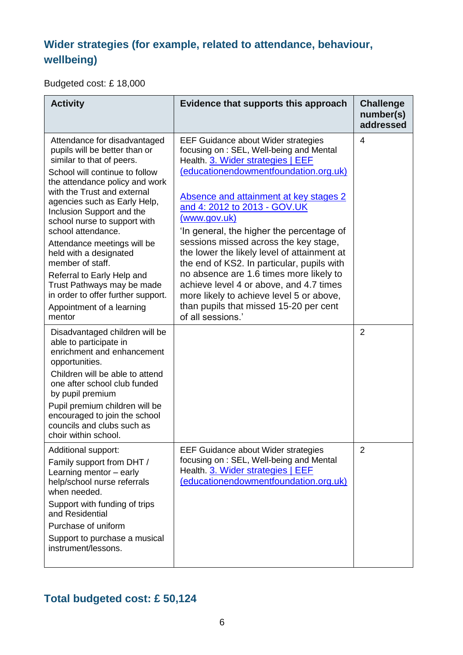## **Wider strategies (for example, related to attendance, behaviour, wellbeing)**

Budgeted cost: £ 18,000

| <b>Activity</b>                                                                                                                                                                                                                                                                                                                                                                                                                                                                                                                        | Evidence that supports this approach                                                                                                                                                                                                                                                                                                                                                                                                                                                                                                                                                                                                              | <b>Challenge</b><br>number(s)<br>addressed |
|----------------------------------------------------------------------------------------------------------------------------------------------------------------------------------------------------------------------------------------------------------------------------------------------------------------------------------------------------------------------------------------------------------------------------------------------------------------------------------------------------------------------------------------|---------------------------------------------------------------------------------------------------------------------------------------------------------------------------------------------------------------------------------------------------------------------------------------------------------------------------------------------------------------------------------------------------------------------------------------------------------------------------------------------------------------------------------------------------------------------------------------------------------------------------------------------------|--------------------------------------------|
| Attendance for disadvantaged<br>pupils will be better than or<br>similar to that of peers.<br>School will continue to follow<br>the attendance policy and work<br>with the Trust and external<br>agencies such as Early Help,<br>Inclusion Support and the<br>school nurse to support with<br>school attendance.<br>Attendance meetings will be<br>held with a designated<br>member of staff.<br>Referral to Early Help and<br>Trust Pathways may be made<br>in order to offer further support.<br>Appointment of a learning<br>mentor | <b>EEF Guidance about Wider strategies</b><br>focusing on: SEL, Well-being and Mental<br>Health. 3. Wider strategies   EEF<br>(educationendowmentfoundation.org.uk)<br>Absence and attainment at key stages 2<br>and 4: 2012 to 2013 - GOV.UK<br>(www.gov.uk)<br>'In general, the higher the percentage of<br>sessions missed across the key stage,<br>the lower the likely level of attainment at<br>the end of KS2. In particular, pupils with<br>no absence are 1.6 times more likely to<br>achieve level 4 or above, and 4.7 times<br>more likely to achieve level 5 or above,<br>than pupils that missed 15-20 per cent<br>of all sessions.' | 4                                          |
| Disadvantaged children will be<br>able to participate in<br>enrichment and enhancement<br>opportunities.<br>Children will be able to attend<br>one after school club funded<br>by pupil premium<br>Pupil premium children will be<br>encouraged to join the school<br>councils and clubs such as<br>choir within school.                                                                                                                                                                                                               |                                                                                                                                                                                                                                                                                                                                                                                                                                                                                                                                                                                                                                                   | $\overline{2}$                             |
| Additional support:<br>Family support from DHT /<br>Learning mentor - early<br>help/school nurse referrals<br>when needed.<br>Support with funding of trips<br>and Residential<br>Purchase of uniform<br>Support to purchase a musical<br>instrument/lessons.                                                                                                                                                                                                                                                                          | <b>EEF Guidance about Wider strategies</b><br>focusing on: SEL, Well-being and Mental<br>Health. 3. Wider strategies   EEF<br>(educationendowmentfoundation.org.uk)                                                                                                                                                                                                                                                                                                                                                                                                                                                                               | $\overline{2}$                             |

## **Total budgeted cost: £ 50,124**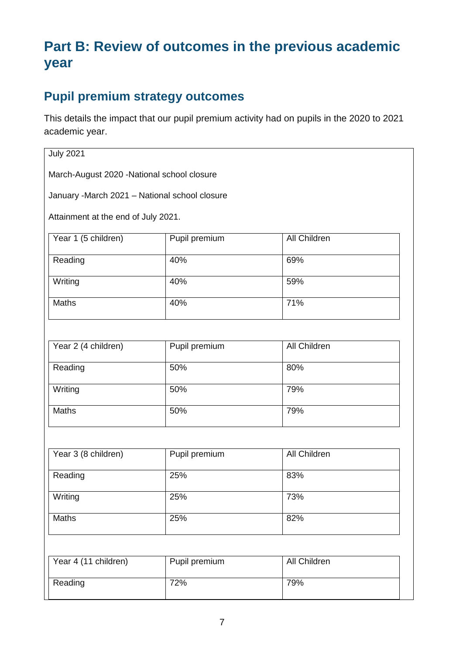# **Part B: Review of outcomes in the previous academic year**

## **Pupil premium strategy outcomes**

This details the impact that our pupil premium activity had on pupils in the 2020 to 2021 academic year.

#### July 2021

March-August 2020 -National school closure

January -March 2021 – National school closure

Attainment at the end of July 2021.

| Year 1 (5 children) | Pupil premium | All Children |
|---------------------|---------------|--------------|
| Reading             | 40%           | 69%          |
| Writing             | 40%           | 59%          |
| <b>Maths</b>        | 40%           | 71%          |

| Year 2 (4 children) | Pupil premium | <b>All Children</b> |
|---------------------|---------------|---------------------|
| Reading             | 50%           | 80%                 |
| Writing             | 50%           | 79%                 |
| <b>Maths</b>        | 50%           | 79%                 |

| Year 3 (8 children) | Pupil premium | All Children |
|---------------------|---------------|--------------|
| Reading             | 25%           | 83%          |
| Writing             | 25%           | 73%          |
| <b>Maths</b>        | 25%           | 82%          |

| Year 4 (11 children) | Pupil premium | All Children |
|----------------------|---------------|--------------|
| Reading              | 72%           | 79%          |